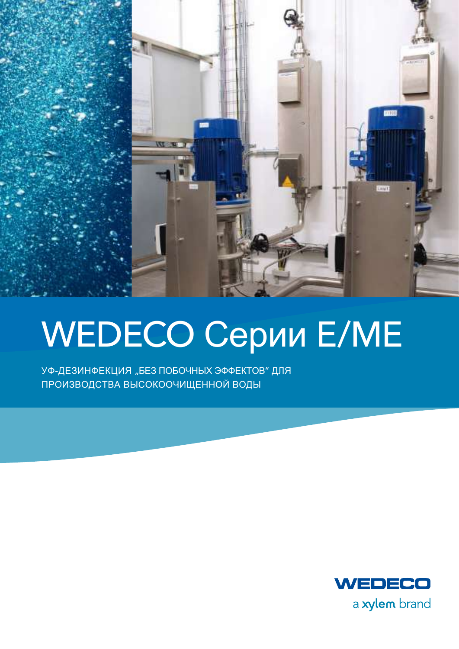

# WEDECO Cepuu E/ME

УФ-ДЕЗИНФЕКЦИЯ "БЕЗ ПОБОЧНЫХ ЭФФЕКТОВ" ДЛЯ ПРОИЗВОДСТВА ВЫСОКООЧИЩЕННОЙ ВОДЫ

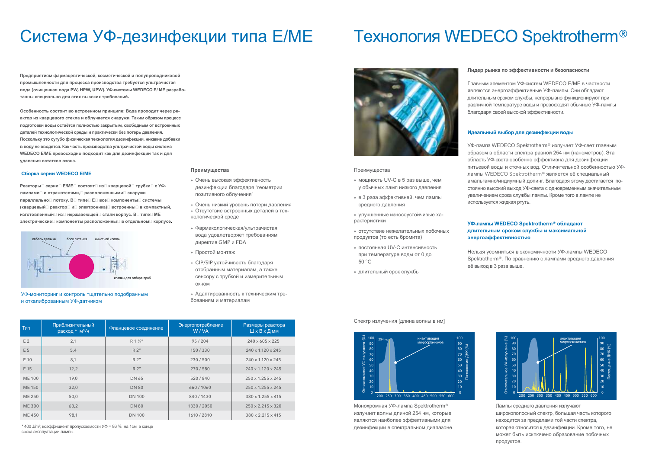# Система УФ-дезинфекции типа Е/МЕ

# **Технология WEDECO Spektrotherm®**

Предприятиям фармацевтической, косметической и полупроводниковой промышленности для процесса производства требуется ультрачистая вода (очищенная вода PW, HPW, UPW). УФ-системы WEDECO E/ МЕ разработанны специально для этих высоких требований.

Особенность состоит во встроенном принципе: Вода проходит через реактор из кварцевого стекла и облучается снаружи. Таким образом процесс подготовки воды остаётся полностью закрытым, свободным от встроенных деталей технологической среды и практически без потерь давления. Поскольку это сугубо физическая технология дезинфекции, никакие добавки в воду не вводятся. Как часть производства ультрачистой воды система **WEDECO E/ME превосходно подходит как для дезинфекции так и для** удаления остатков озона.

### Сборка серии WEDECO Е/МЕ

Реакторы серии Е/МЕ состоят из кварцевой трубки с УФлампами и отражателями. оасположенными снаружи параллельно потоку. В пипе Е Е все компоненты системы (кварцевый оеактор и электроника) встроенны в компактный, изготовленный из нержавеющей стали корпус. В типе МЕ электрические компоненты расположенны в отдельном корпусе.





## Преимущества

- » Очень высокая эффективность дезинфекции благодаря "геометрии позитивного облучения"
- » Очень низкий уровень потери давления » Отсутствие встроенных деталей в технологической среде
- » Фармакологическая/ультрачистая вода удовлетворяет требованиям директив GMP и FDA
- » Простой монтаж
- » CIP/SIP устойчивость благодаря отобранным материалам, а также сенсору с трубкой и измерительным ОКНОМ
- » Адаптированность к техническим требованиям и материалам

| Тип            | Приблизительный<br>расход * м <sup>3</sup> /ч | Фланцевое соединение | Энергопотребление<br>W/VA | Размеры реактора<br>ШхВхДмм   |
|----------------|-----------------------------------------------|----------------------|---------------------------|-------------------------------|
| E <sub>2</sub> | 2,1                                           | R 1 1/4"             | 95/204                    | $240 \times 605 \times 225$   |
| E 5            | 5,4                                           | R2''                 | 150/330                   | $240 \times 1.120 \times 245$ |
| E 10           | 8,1                                           | R2''                 | 230/500                   | $240 \times 1.120 \times 245$ |
| E 15           | 12,2                                          | R2''                 | 270/580                   | $240 \times 1.120 \times 245$ |
| <b>ME 100</b>  | 19,0                                          | DN 65                | 520/840                   | $250 \times 1.255 \times 245$ |
| <b>ME 150</b>  | 32,0                                          | <b>DN 80</b>         | 660/1060                  | $250 \times 1.255 \times 245$ |
| ME 250         | 50,0                                          | <b>DN 100</b>        | 840/1430                  | 380 x 1.255 x 415             |
| <b>ME300</b>   | 63,2                                          | <b>DN 80</b>         | 1330 / 2050               | $250 \times 2.215 \times 320$ |
| ME 450         | 98.1                                          | <b>DN 100</b>        | 1610 / 2810               | $380 \times 2.215 \times 415$ |

\* 400 J/m<sup>2</sup>; коэффициент пропускаемости УФ = 86 % на 1см в конце срока эксплуатации лампы.



#### Преимущества

- » мощность UV-С в 5 раз выше, чем у обычных ламп низкого давления
- » в 3 раза эффективней, чем лампы среднего давления
- » улучшенные износоустойчивые характеристики
- » отсутствие нежелательных побочных продуктов (то есть бромита)
- » постоянная UV-С интенсивность при температуре воды от 0 до 50 °C
- » длительный срок службы

# УФ-лампы WEDECO Spektrotherm® обладают длительным сроком службы и максимальной энергоэффективностью

## Спектр излучения Гдлина волны в нм1



Монохромная УФ-лампа Spektrotherm® излучает волны длиной 254 нм, которые являются наиболее эффективными для дезинфекции в спектральном диапазоне

# Лидер рынка по эффективности и безопасности

Главным элементом УФ-систем WEDECO E/ME в частности являются энергоэффективные УФ-лампы. Они обладают длительным сроком службы, непрерывно функционируют при различной температуре воды и превосходят обычные УФ-лампы благодаря своей высокой эффективности.

# Идеальный выбор для дезинфекции воды

УФ-лампа WEDECO Spektrotherm® излучает УФ-свет главным образом в области спектра равной 254 нм (нанометров). Эта область УФ-света особенно эффективна для дезинфекции питьевой воды и сточных вод. Отличительной особенностью УФлампы WEDECO Spektrotherm® является её специальный амальгамно/индиумный допинг. Благодаря этому достигается постоянно высокий выход УФ-света с одновременным значительным увеличением срока службы лампы. Кроме того в лампе не используется жидкая ртуть.

Нельзя усомниться в экономичности УФ-лампы WEDECO Spektrotherm®. По сравнению с лампами среднего давления её выход в 3 раза выше.



Лампы среднего давления излучают широкополосный спектр, большая часть которого находится за пределами той части спектра, которая относится к дезинфекции. Кроме того, не может быть исключено образование побочных продуктов.